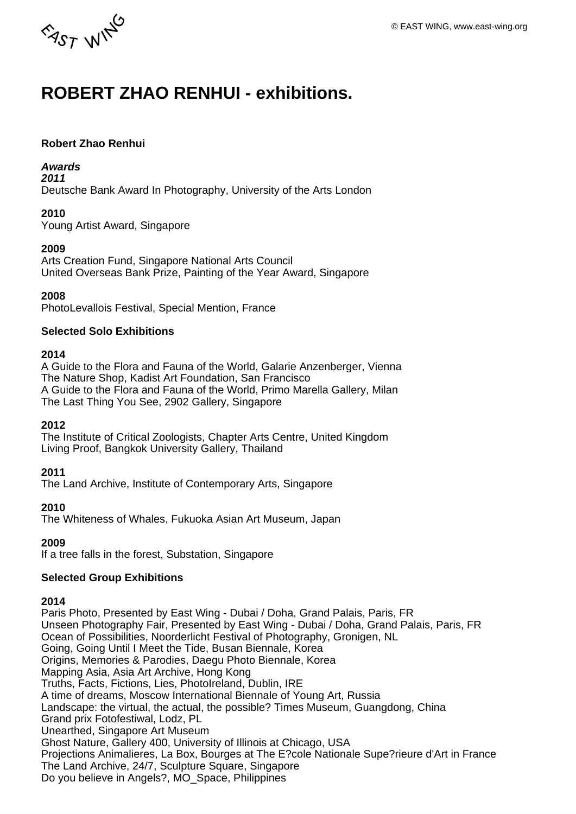

# **ROBERT ZHAO RENHUI - exhibitions.**

#### **Robert Zhao Renhui**

#### **Awards**

**2011**

Deutsche Bank Award In Photography, University of the Arts London

#### **2010**

Young Artist Award, Singapore

#### **2009**

Arts Creation Fund, Singapore National Arts Council United Overseas Bank Prize, Painting of the Year Award, Singapore

#### **2008**

PhotoLevallois Festival, Special Mention, France

#### **Selected Solo Exhibitions**

#### **2014**

A Guide to the Flora and Fauna of the World, Galarie Anzenberger, Vienna The Nature Shop, Kadist Art Foundation, San Francisco A Guide to the Flora and Fauna of the World, Primo Marella Gallery, Milan The Last Thing You See, 2902 Gallery, Singapore

#### **2012**

The Institute of Critical Zoologists, Chapter Arts Centre, United Kingdom Living Proof, Bangkok University Gallery, Thailand

#### **2011**

The Land Archive, Institute of Contemporary Arts, Singapore

#### **2010**

The Whiteness of Whales, Fukuoka Asian Art Museum, Japan

## **2009**

If a tree falls in the forest, Substation, Singapore

#### **Selected Group Exhibitions**

#### **2014**

Paris Photo, Presented by East Wing - Dubai / Doha, Grand Palais, Paris, FR Unseen Photography Fair, Presented by East Wing - Dubai / Doha, Grand Palais, Paris, FR Ocean of Possibilities, Noorderlicht Festival of Photography, Gronigen, NL Going, Going Until I Meet the Tide, Busan Biennale, Korea Origins, Memories & Parodies, Daegu Photo Biennale, Korea Mapping Asia, Asia Art Archive, Hong Kong Truths, Facts, Fictions, Lies, PhotoIreland, Dublin, IRE A time of dreams, Moscow International Biennale of Young Art, Russia Landscape: the virtual, the actual, the possible? Times Museum, Guangdong, China Grand prix Fotofestiwal, Lodz, PL Unearthed, Singapore Art Museum Ghost Nature, Gallery 400, University of Illinois at Chicago, USA Projections Animalieres, La Box, Bourges at The E?cole Nationale Supe?rieure d'Art in France The Land Archive, 24/7, Sculpture Square, Singapore Do you believe in Angels?, MO\_Space, Philippines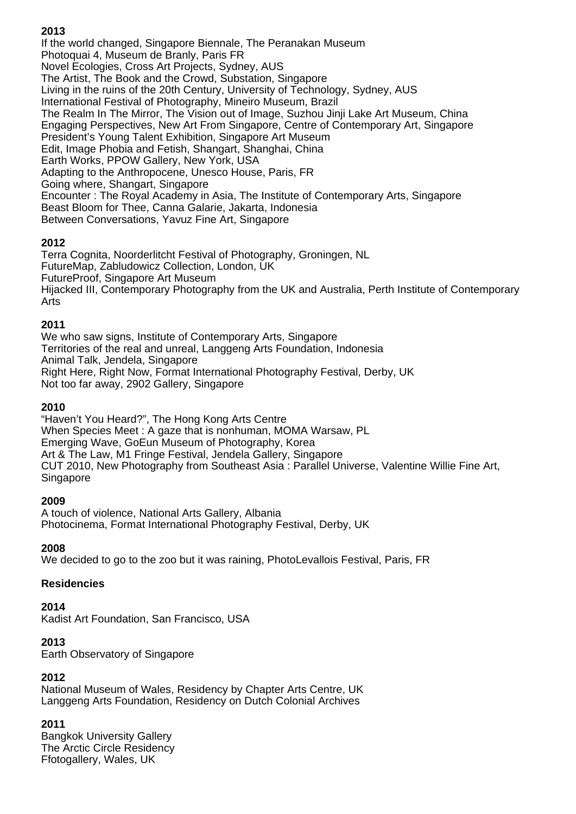## **2013**

If the world changed, Singapore Biennale, The Peranakan Museum Photoquai 4, Museum de Branly, Paris FR Novel Ecologies, Cross Art Projects, Sydney, AUS The Artist, The Book and the Crowd, Substation, Singapore Living in the ruins of the 20th Century, University of Technology, Sydney, AUS International Festival of Photography, Mineiro Museum, Brazil The Realm In The Mirror, The Vision out of Image, Suzhou Jinji Lake Art Museum, China Engaging Perspectives, New Art From Singapore, Centre of Contemporary Art, Singapore President's Young Talent Exhibition, Singapore Art Museum Edit, Image Phobia and Fetish, Shangart, Shanghai, China Earth Works, PPOW Gallery, New York, USA Adapting to the Anthropocene, Unesco House, Paris, FR Going where, Shangart, Singapore Encounter : The Royal Academy in Asia, The Institute of Contemporary Arts, Singapore Beast Bloom for Thee, Canna Galarie, Jakarta, Indonesia Between Conversations, Yavuz Fine Art, Singapore

## **2012**

Terra Cognita, Noorderlitcht Festival of Photography, Groningen, NL FutureMap, Zabludowicz Collection, London, UK FutureProof, Singapore Art Museum Hijacked III, Contemporary Photography from the UK and Australia, Perth Institute of Contemporary Arts

#### **2011**

We who saw signs, Institute of Contemporary Arts, Singapore Territories of the real and unreal, Langgeng Arts Foundation, Indonesia Animal Talk, Jendela, Singapore Right Here, Right Now, Format International Photography Festival, Derby, UK Not too far away, 2902 Gallery, Singapore

#### **2010**

"Haven't You Heard?", The Hong Kong Arts Centre When Species Meet : A gaze that is nonhuman, MOMA Warsaw, PL Emerging Wave, GoEun Museum of Photography, Korea Art & The Law, M1 Fringe Festival, Jendela Gallery, Singapore CUT 2010, New Photography from Southeast Asia : Parallel Universe, Valentine Willie Fine Art, Singapore

#### **2009**

A touch of violence, National Arts Gallery, Albania Photocinema, Format International Photography Festival, Derby, UK

#### **2008**

We decided to go to the zoo but it was raining, PhotoLevallois Festival, Paris, FR

#### **Residencies**

**2014**

Kadist Art Foundation, San Francisco, USA

#### **2013**

Earth Observatory of Singapore

#### **2012**

National Museum of Wales, Residency by Chapter Arts Centre, UK Langgeng Arts Foundation, Residency on Dutch Colonial Archives

#### **2011**

Bangkok University Gallery The Arctic Circle Residency Ffotogallery, Wales, UK